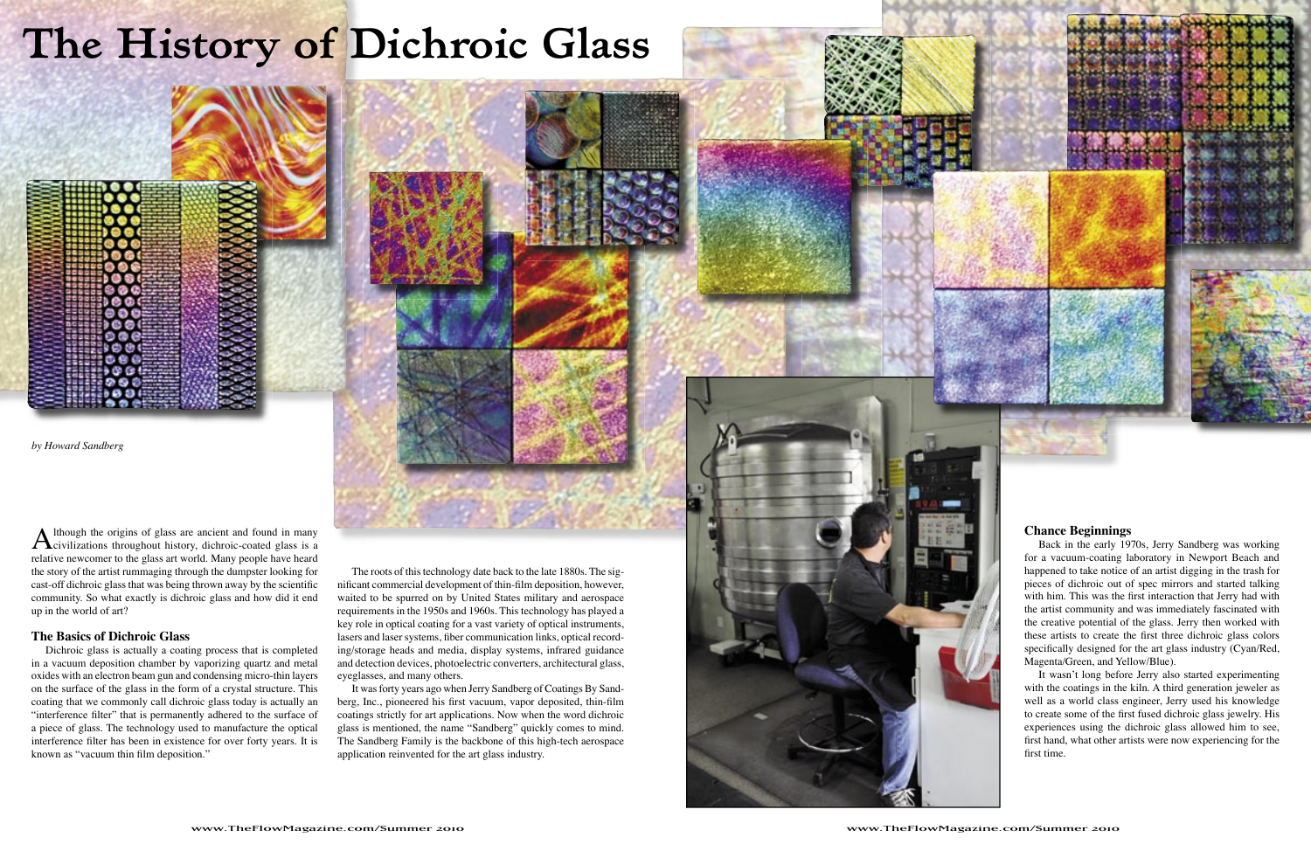Although the origins of glass are ancient and found in many<br>civilizations throughout history, dichroic-coated glass is a<br>makiive neuronments the glass art would. Many negate here been relative newcomer to the glass art world. Many people have heard the story of the artist rummaging through the dumpster looking for cast-off dichroic glass that was being thrown away by the scientific community. So what exactly is dichroic glass and how did it end up in the world of art?

Dichroic glass is actually a coating process that is completed in a vacuum deposition chamber by vaporizing quartz and metal oxides with an electron beam gun and condensing micro-thin layers on the surface of the glass in the form of a crystal structure. This coating that we commonly call dichroic glass today is actually an "interference filter" that is permanently adhered to the surface of a piece of glass. The technology used to manufacture the optical interference filter has been in existence for over forty years. It is known as "vacuum thin film deposition."

#### **The Basics of Dichroic Glass**

# **The History of Dichroic Glass**



It wasn't long before Jerry also started experimenting with the coatings in the kiln. A third generation jeweler as well as a world class engineer, Jerry used his knowledge to create some of the first fused dichroic glass jewelry. His experiences using the dichroic glass allowed him to see, first hand, what other artists were now experiencing for the first time.

The roots of this technology date back to the late 1880s. The significant commercial development of thin-film deposition, however, waited to be spurred on by United States military and aerospace requirements in the 1950s and 1960s. This technology has played a key role in optical coating for a vast variety of optical instruments, lasers and laser systems, fiber communication links, optical recording/storage heads and media, display systems, infrared guidance and detection devices, photoelectric converters, architectural glass, eyeglasses, and many others.

It was forty years ago when Jerry Sandberg of Coatings By Sandberg, Inc., pioneered his first vacuum, vapor deposited, thin-film coatings strictly for art applications. Now when the word dichroic glass is mentioned, the name "Sandberg" quickly comes to mind. The Sandberg Family is the backbone of this high-tech aerospace application reinvented for the art glass industry.

## **Chance Beginnings**

Back in the early 1970s, Jerry Sandberg was working for a vacuum-coating laboratory in Newport Beach and happened to take notice of an artist digging in the trash for pieces of dichroic out of spec mirrors and started talking with him. This was the first interaction that Jerry had with the artist community and was immediately fascinated with the creative potential of the glass. Jerry then worked with these artists to create the first three dichroic glass colors specifically designed for the art glass industry (Cyan/Red, Magenta/Green, and Yellow/Blue).